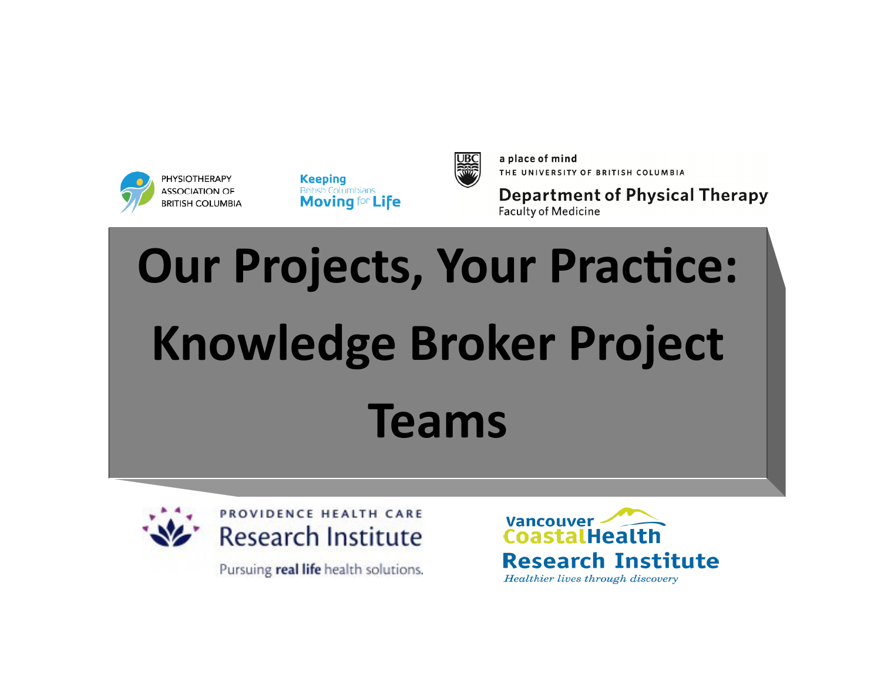

**Keeping British Columbians Moving for Life** 



a place of mind THE UNIVERSITY OF BRITISH COLUMBIA

**Department of Physical Therapy Faculty of Medicine** 

## **Our Projects, Your Practice: Knowledge Broker Project Teams**



PROVIDENCE HEALTH CARE **Research Institute** 

Pursuing real life health solutions.

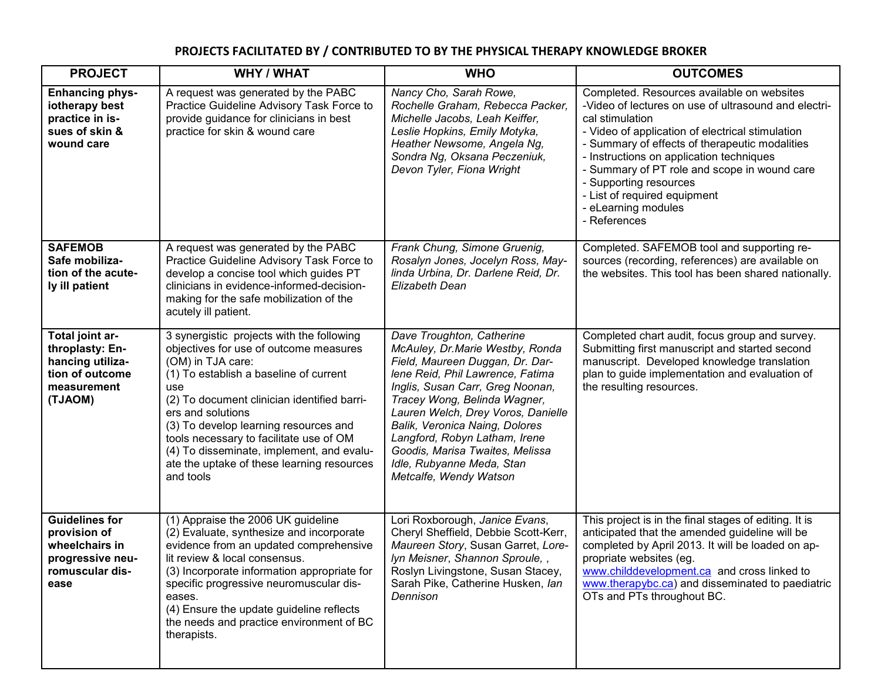## **PROJECTS FACILITATED BY / CONTRIBUTED TO BY THE PHYSICAL THERAPY KNOWLEDGE BROKER**

| <b>PROJECT</b>                                                                                         | <b>WHY / WHAT</b>                                                                                                                                                                                                                                                                                                                                                                                                         | <b>WHO</b>                                                                                                                                                                                                                                                                                                                                                                                                 | <b>OUTCOMES</b>                                                                                                                                                                                                                                                                                                                                                                                                          |
|--------------------------------------------------------------------------------------------------------|---------------------------------------------------------------------------------------------------------------------------------------------------------------------------------------------------------------------------------------------------------------------------------------------------------------------------------------------------------------------------------------------------------------------------|------------------------------------------------------------------------------------------------------------------------------------------------------------------------------------------------------------------------------------------------------------------------------------------------------------------------------------------------------------------------------------------------------------|--------------------------------------------------------------------------------------------------------------------------------------------------------------------------------------------------------------------------------------------------------------------------------------------------------------------------------------------------------------------------------------------------------------------------|
| <b>Enhancing phys-</b><br>iotherapy best<br>practice in is-<br>sues of skin &<br>wound care            | A request was generated by the PABC<br>Practice Guideline Advisory Task Force to<br>provide guidance for clinicians in best<br>practice for skin & wound care                                                                                                                                                                                                                                                             | Nancy Cho, Sarah Rowe,<br>Rochelle Graham, Rebecca Packer,<br>Michelle Jacobs, Leah Keiffer,<br>Leslie Hopkins, Emily Motyka,<br>Heather Newsome, Angela Ng,<br>Sondra Ng, Oksana Peczeniuk,<br>Devon Tyler, Fiona Wright                                                                                                                                                                                  | Completed. Resources available on websites<br>-Video of lectures on use of ultrasound and electri-<br>cal stimulation<br>- Video of application of electrical stimulation<br>- Summary of effects of therapeutic modalities<br>- Instructions on application techniques<br>- Summary of PT role and scope in wound care<br>- Supporting resources<br>- List of required equipment<br>- eLearning modules<br>- References |
| <b>SAFEMOB</b><br>Safe mobiliza-<br>tion of the acute-<br>ly ill patient                               | A request was generated by the PABC<br>Practice Guideline Advisory Task Force to<br>develop a concise tool which guides PT<br>clinicians in evidence-informed-decision-<br>making for the safe mobilization of the<br>acutely ill patient.                                                                                                                                                                                | Frank Chung, Simone Gruenig,<br>Rosalyn Jones, Jocelyn Ross, May-<br>linda Urbina, Dr. Darlene Reid, Dr.<br>Elizabeth Dean                                                                                                                                                                                                                                                                                 | Completed. SAFEMOB tool and supporting re-<br>sources (recording, references) are available on<br>the websites. This tool has been shared nationally.                                                                                                                                                                                                                                                                    |
| Total joint ar-<br>throplasty: En-<br>hancing utiliza-<br>tion of outcome<br>measurement<br>(TJAOM)    | 3 synergistic projects with the following<br>objectives for use of outcome measures<br>(OM) in TJA care:<br>(1) To establish a baseline of current<br>use<br>(2) To document clinician identified barri-<br>ers and solutions<br>(3) To develop learning resources and<br>tools necessary to facilitate use of OM<br>(4) To disseminate, implement, and evalu-<br>ate the uptake of these learning resources<br>and tools | Dave Troughton, Catherine<br>McAuley, Dr.Marie Westby, Ronda<br>Field, Maureen Duggan, Dr. Dar-<br>lene Reid, Phil Lawrence, Fatima<br>Inglis, Susan Carr, Greg Noonan,<br>Tracey Wong, Belinda Wagner,<br>Lauren Welch, Drey Voros, Danielle<br>Balik, Veronica Naing, Dolores<br>Langford, Robyn Latham, Irene<br>Goodis, Marisa Twaites, Melissa<br>Idle, Rubyanne Meda, Stan<br>Metcalfe, Wendy Watson | Completed chart audit, focus group and survey.<br>Submitting first manuscript and started second<br>manuscript. Developed knowledge translation<br>plan to guide implementation and evaluation of<br>the resulting resources.                                                                                                                                                                                            |
| <b>Guidelines for</b><br>provision of<br>wheelchairs in<br>progressive neu-<br>romuscular dis-<br>ease | (1) Appraise the 2006 UK guideline<br>(2) Evaluate, synthesize and incorporate<br>evidence from an updated comprehensive<br>lit review & local consensus.<br>(3) Incorporate information appropriate for<br>specific progressive neuromuscular dis-<br>eases.<br>(4) Ensure the update guideline reflects<br>the needs and practice environment of BC<br>therapists.                                                      | Lori Roxborough, Janice Evans,<br>Cheryl Sheffield, Debbie Scott-Kerr,<br>Maureen Story, Susan Garret, Lore-<br>Iyn Meisner, Shannon Sproule,<br>Roslyn Livingstone, Susan Stacey,<br>Sarah Pike, Catherine Husken, lan<br>Dennison                                                                                                                                                                        | This project is in the final stages of editing. It is<br>anticipated that the amended guideline will be<br>completed by April 2013. It will be loaded on ap-<br>propriate websites (eg.<br>www.childdevelopment.ca_and cross linked to<br>www.therapybc.ca) and disseminated to paediatric<br>OTs and PTs throughout BC.                                                                                                 |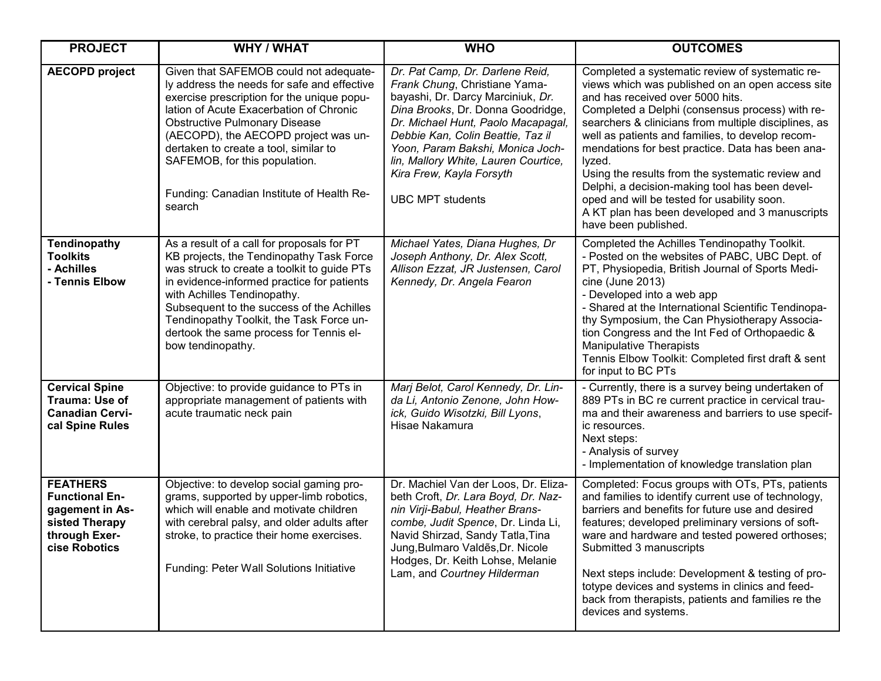| <b>PROJECT</b>                                                                                                  | <b>WHY / WHAT</b>                                                                                                                                                                                                                                                                                                                                                                               | <b>WHO</b>                                                                                                                                                                                                                                                                                                                                               | <b>OUTCOMES</b>                                                                                                                                                                                                                                                                                                                                                                                                                                                                                                                                                                                     |
|-----------------------------------------------------------------------------------------------------------------|-------------------------------------------------------------------------------------------------------------------------------------------------------------------------------------------------------------------------------------------------------------------------------------------------------------------------------------------------------------------------------------------------|----------------------------------------------------------------------------------------------------------------------------------------------------------------------------------------------------------------------------------------------------------------------------------------------------------------------------------------------------------|-----------------------------------------------------------------------------------------------------------------------------------------------------------------------------------------------------------------------------------------------------------------------------------------------------------------------------------------------------------------------------------------------------------------------------------------------------------------------------------------------------------------------------------------------------------------------------------------------------|
| <b>AECOPD project</b>                                                                                           | Given that SAFEMOB could not adequate-<br>ly address the needs for safe and effective<br>exercise prescription for the unique popu-<br>lation of Acute Exacerbation of Chronic<br><b>Obstructive Pulmonary Disease</b><br>(AECOPD), the AECOPD project was un-<br>dertaken to create a tool, similar to<br>SAFEMOB, for this population.<br>Funding: Canadian Institute of Health Re-<br>search | Dr. Pat Camp, Dr. Darlene Reid,<br>Frank Chung, Christiane Yama-<br>bayashi, Dr. Darcy Marciniuk, Dr.<br>Dina Brooks, Dr. Donna Goodridge,<br>Dr. Michael Hunt, Paolo Macapagal,<br>Debbie Kan, Colin Beattie, Taz il<br>Yoon, Param Bakshi, Monica Joch-<br>lin, Mallory White, Lauren Courtice,<br>Kira Frew, Kayla Forsyth<br><b>UBC MPT students</b> | Completed a systematic review of systematic re-<br>views which was published on an open access site<br>and has received over 5000 hits.<br>Completed a Delphi (consensus process) with re-<br>searchers & clinicians from multiple disciplines, as<br>well as patients and families, to develop recom-<br>mendations for best practice. Data has been ana-<br>lyzed.<br>Using the results from the systematic review and<br>Delphi, a decision-making tool has been devel-<br>oped and will be tested for usability soon.<br>A KT plan has been developed and 3 manuscripts<br>have been published. |
| Tendinopathy<br><b>Toolkits</b><br>- Achilles<br>- Tennis Elbow                                                 | As a result of a call for proposals for PT<br>KB projects, the Tendinopathy Task Force<br>was struck to create a toolkit to guide PTs<br>in evidence-informed practice for patients<br>with Achilles Tendinopathy.<br>Subsequent to the success of the Achilles<br>Tendinopathy Toolkit, the Task Force un-<br>dertook the same process for Tennis el-<br>bow tendinopathy.                     | Michael Yates, Diana Hughes, Dr<br>Joseph Anthony, Dr. Alex Scott,<br>Allison Ezzat, JR Justensen, Carol<br>Kennedy, Dr. Angela Fearon                                                                                                                                                                                                                   | Completed the Achilles Tendinopathy Toolkit.<br>- Posted on the websites of PABC, UBC Dept. of<br>PT, Physiopedia, British Journal of Sports Medi-<br>cine (June 2013)<br>- Developed into a web app<br>- Shared at the International Scientific Tendinopa-<br>thy Symposium, the Can Physiotherapy Associa-<br>tion Congress and the Int Fed of Orthopaedic &<br><b>Manipulative Therapists</b><br>Tennis Elbow Toolkit: Completed first draft & sent<br>for input to BC PTs                                                                                                                       |
| <b>Cervical Spine</b><br>Trauma: Use of<br><b>Canadian Cervi-</b><br>cal Spine Rules                            | Objective: to provide guidance to PTs in<br>appropriate management of patients with<br>acute traumatic neck pain                                                                                                                                                                                                                                                                                | Marj Belot, Carol Kennedy, Dr. Lin-<br>da Li, Antonio Zenone, John How-<br>ick, Guido Wisotzki, Bill Lyons,<br>Hisae Nakamura                                                                                                                                                                                                                            | - Currently, there is a survey being undertaken of<br>889 PTs in BC re current practice in cervical trau-<br>ma and their awareness and barriers to use specif-<br>ic resources.<br>Next steps:<br>- Analysis of survey<br>- Implementation of knowledge translation plan                                                                                                                                                                                                                                                                                                                           |
| <b>FEATHERS</b><br><b>Functional En-</b><br>gagement in As-<br>sisted Therapy<br>through Exer-<br>cise Robotics | Objective: to develop social gaming pro-<br>grams, supported by upper-limb robotics,<br>which will enable and motivate children<br>with cerebral palsy, and older adults after<br>stroke, to practice their home exercises.<br>Funding: Peter Wall Solutions Initiative                                                                                                                         | Dr. Machiel Van der Loos, Dr. Eliza-<br>beth Croft, Dr. Lara Boyd, Dr. Naz-<br>nin Virji-Babul, Heather Brans-<br>combe, Judit Spence, Dr. Linda Li,<br>Navid Shirzad, Sandy Tatla, Tina<br>Jung, Bulmaro Valdes, Dr. Nicole<br>Hodges, Dr. Keith Lohse, Melanie<br>Lam, and Courtney Hilderman                                                          | Completed: Focus groups with OTs, PTs, patients<br>and families to identify current use of technology,<br>barriers and benefits for future use and desired<br>features; developed preliminary versions of soft-<br>ware and hardware and tested powered orthoses;<br>Submitted 3 manuscripts<br>Next steps include: Development & testing of pro-<br>totype devices and systems in clinics and feed-<br>back from therapists, patients and families re the<br>devices and systems.                                                                                                                  |